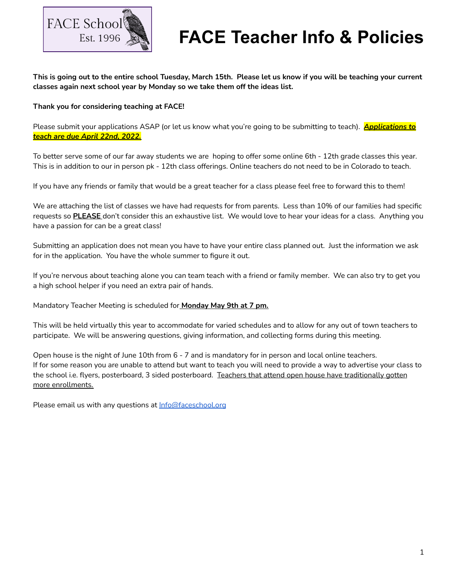

This is going out to the entire school Tuesday, March 15th. Please let us know if you will be teaching your current **classes again next school year by Monday so we take them off the ideas list.**

### **Thank you for considering teaching at FACE!**

Please submit your applications ASAP (or let us know what you're going to be submitting to teach). *Applications to teach are due April 22nd, 2022.*

To better serve some of our far away students we are hoping to offer some online 6th - 12th grade classes this year. This is in addition to our in person pk - 12th class offerings. Online teachers do not need to be in Colorado to teach.

If you have any friends or family that would be a great teacher for a class please feel free to forward this to them!

We are attaching the list of classes we have had requests for from parents. Less than 10% of our families had specific requests so **PLEASE** don't consider this an exhaustive list. We would love to hear your ideas for a class. Anything you have a passion for can be a great class!

Submitting an application does not mean you have to have your entire class planned out. Just the information we ask for in the application. You have the whole summer to figure it out.

If you're nervous about teaching alone you can team teach with a friend or family member. We can also try to get you a high school helper if you need an extra pair of hands.

Mandatory Teacher Meeting is scheduled for **Monday May 9th at 7 pm.**

This will be held virtually this year to accommodate for varied schedules and to allow for any out of town teachers to participate. We will be answering questions, giving information, and collecting forms during this meeting.

Open house is the night of June 10th from 6 - 7 and is mandatory for in person and local online teachers. If for some reason you are unable to attend but want to teach you will need to provide a way to advertise your class to the school i.e. flyers, posterboard, 3 sided posterboard. Teachers that attend open house have traditionally gotten more enrollments.

Please email us with any questions at [Info@faceschool.org](mailto:Info@faceschool.org)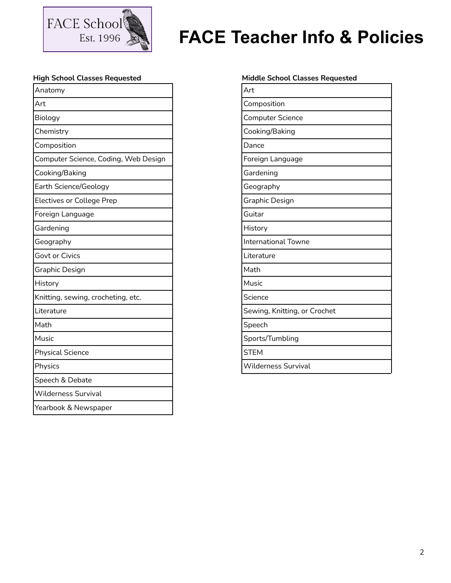

## **High School Classes Requested**

| Anatomy                              |
|--------------------------------------|
| Art                                  |
| Biology                              |
| Chemistry                            |
| Composition                          |
| Computer Science, Coding, Web Design |
| Cooking/Baking                       |
| Earth Science/Geology                |
| <b>Electives or College Prep</b>     |
| Foreign Language                     |
| Gardening                            |
| Geography                            |
| Govt or Civics                       |
| Graphic Design                       |
| History                              |
| Knitting, sewing, crocheting, etc.   |
| Literature                           |
| Math                                 |
| Music                                |
| <b>Physical Science</b>              |
| Physics                              |
| Speech & Debate                      |
| <b>Wilderness Survival</b>           |
| Yearbook & Newspaper                 |

#### **Middle School Classes Requested**

| Art                          |
|------------------------------|
| Composition                  |
| <b>Computer Science</b>      |
| Cooking/Baking               |
| Dance                        |
| Foreign Language             |
| Gardening                    |
| Geography                    |
| Graphic Design               |
| Guitar                       |
| History                      |
| <b>International Towne</b>   |
| Literature                   |
| Math                         |
| Music                        |
| Science                      |
| Sewing, Knitting, or Crochet |
| Speech                       |
| Sports/Tumbling              |
| <b>STEM</b>                  |
|                              |

Wilderness Survival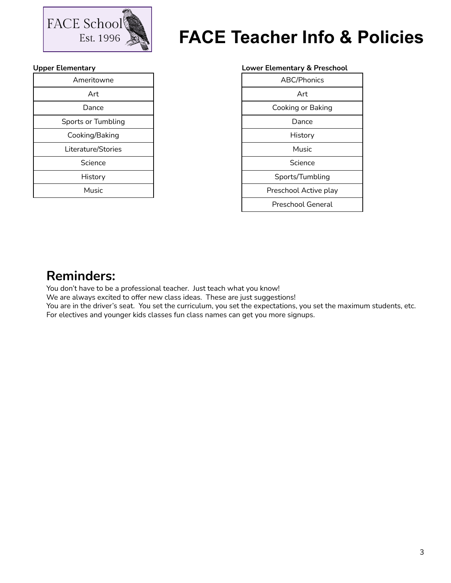

## **Upper Elementary**

| Ameritowne         |
|--------------------|
| Art                |
| Dance              |
| Sports or Tumbling |
| Cooking/Baking     |
| Literature/Stories |
| Science            |
| History            |
| Music              |

|  | <b>Lower Elementary &amp; Preschool</b> |  |  |
|--|-----------------------------------------|--|--|
|--|-----------------------------------------|--|--|

| <b>ABC/Phonics</b>    |
|-----------------------|
| Art                   |
| Cooking or Baking     |
| Dance                 |
| History               |
| Music                 |
| Science               |
| Sports/Tumbling       |
| Preschool Active play |
| Preschool General     |

## **Reminders:**

You don't have to be a professional teacher. Just teach what you know!

We are always excited to offer new class ideas. These are just suggestions!

You are in the driver's seat. You set the curriculum, you set the expectations, you set the maximum students, etc. For electives and younger kids classes fun class names can get you more signups.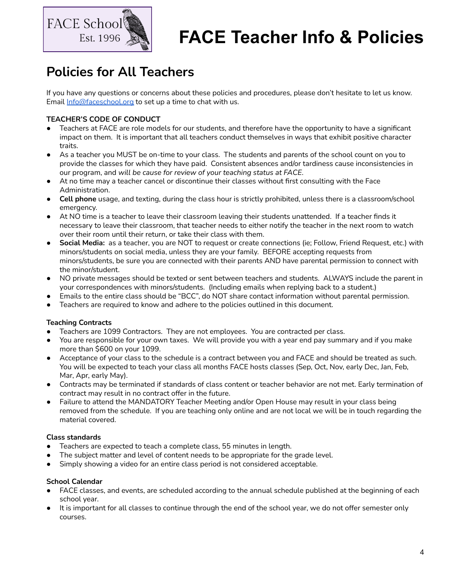

## **Policies for All Teachers**

If you have any questions or concerns about these policies and procedures, please don't hesitate to let us know. Email [Info@faceschool.org](mailto:Info@faceschool.org) to set up a time to chat with us.

## **TEACHER'S CODE OF CONDUCT**

- Teachers at FACE are role models for our students, and therefore have the opportunity to have a significant impact on them. It is important that all teachers conduct themselves in ways that exhibit positive character traits.
- As a teacher you MUST be on-time to your class. The students and parents of the school count on you to provide the classes for which they have paid. Consistent absences and/or tardiness cause inconsistencies in our program, and *will be cause for review of your teaching status at FACE*.
- At no time may a teacher cancel or discontinue their classes without first consulting with the Face Administration.
- **Cell phone** usage, and texting, during the class hour is strictly prohibited, unless there is a classroom/school emergency.
- At NO time is a teacher to leave their classroom leaving their students unattended. If a teacher finds it necessary to leave their classroom, that teacher needs to either notify the teacher in the next room to watch over their room until their return, or take their class with them.
- **Social Media:** as a teacher, you are NOT to request or create connections (ie; Follow, Friend Request, etc.) with minors/students on social media, unless they are your family. BEFORE accepting requests from minors/students, be sure you are connected with their parents AND have parental permission to connect with the minor/student.
- NO private messages should be texted or sent between teachers and students. ALWAYS include the parent in your correspondences with minors/students. (Including emails when replying back to a student.)
- Emails to the entire class should be "BCC", do NOT share contact information without parental permission.
- Teachers are required to know and adhere to the policies outlined in this document.

## **Teaching Contracts**

- Teachers are 1099 Contractors. They are not employees. You are contracted per class.
- You are responsible for your own taxes. We will provide you with a year end pay summary and if you make more than \$600 on your 1099.
- Acceptance of your class to the schedule is a contract between you and FACE and should be treated as such. You will be expected to teach your class all months FACE hosts classes (Sep, Oct, Nov, early Dec, Jan, Feb, Mar, Apr, early May).
- Contracts may be terminated if standards of class content or teacher behavior are not met. Early termination of contract may result in no contract offer in the future.
- Failure to attend the MANDATORY Teacher Meeting and/or Open House may result in your class being removed from the schedule. If you are teaching only online and are not local we will be in touch regarding the material covered.

## **Class standards**

- Teachers are expected to teach a complete class, 55 minutes in length.
- The subject matter and level of content needs to be appropriate for the grade level.
- Simply showing a video for an entire class period is not considered acceptable.

### **School Calendar**

- FACE classes, and events, are scheduled according to the annual schedule published at the beginning of each school year.
- It is important for all classes to continue through the end of the school year, we do not offer semester only courses.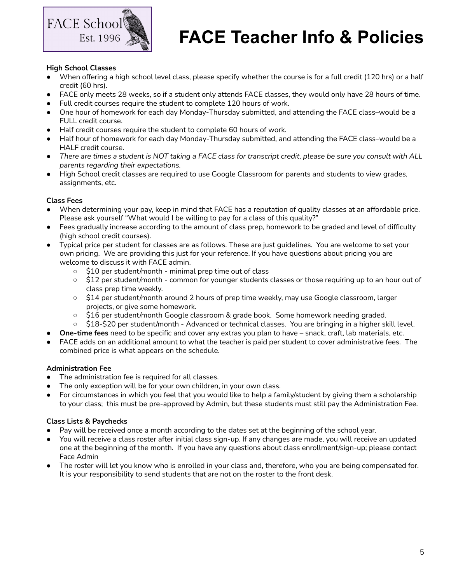

### **High School Classes**

- When offering a high school level class, please specify whether the course is for a full credit (120 hrs) or a half credit (60 hrs).
- FACE only meets 28 weeks, so if a student only attends FACE classes, they would only have 28 hours of time.
- Full credit courses require the student to complete 120 hours of work.
- One hour of homework for each day Monday-Thursday submitted, and attending the FACE class–would be a FULL credit course.
- Half credit courses require the student to complete 60 hours of work.
- Half hour of homework for each day Monday-Thursday submitted, and attending the FACE class–would be a HALF credit course.
- There are times a student is NOT taking a FACE class for transcript credit, please be sure you consult with ALL *parents regarding their expectations.*
- High School credit classes are required to use Google Classroom for parents and students to view grades, assignments, etc.

## **Class Fees**

- When determining your pay, keep in mind that FACE has a reputation of quality classes at an affordable price. Please ask yourself "What would I be willing to pay for a class of this quality?"
- Fees gradually increase according to the amount of class prep, homework to be graded and level of difficulty (high school credit courses).
- Typical price per student for classes are as follows. These are just guidelines. You are welcome to set your own pricing. We are providing this just for your reference. If you have questions about pricing you are welcome to discuss it with FACE admin.
	- \$10 per student/month minimal prep time out of class
	- \$12 per student/month common for younger students classes or those requiring up to an hour out of class prep time weekly.
	- \$14 per student/month around 2 hours of prep time weekly, may use Google classroom, larger projects, or give some homework.
	- \$16 per student/month Google classroom & grade book. Some homework needing graded.
	- \$18-\$20 per student/month Advanced or technical classes. You are bringing in a higher skill level.
- **● One-time fees** need to be specific and cover any extras you plan to have snack, craft, lab materials, etc.
- FACE adds on an additional amount to what the teacher is paid per student to cover administrative fees. The combined price is what appears on the schedule.

### **Administration Fee**

- The administration fee is required for all classes.
- The only exception will be for your own children, in your own class.
- For circumstances in which you feel that you would like to help a family/student by giving them a scholarship to your class; this must be pre-approved by Admin, but these students must still pay the Administration Fee.

### **Class Lists & Paychecks**

- Pay will be received once a month according to the dates set at the beginning of the school year.
- You will receive a class roster after initial class sign-up. If any changes are made, you will receive an updated one at the beginning of the month. If you have any questions about class enrollment/sign-up; please contact Face Admin
- The roster will let you know who is enrolled in your class and, therefore, who you are being compensated for. It is your responsibility to send students that are not on the roster to the front desk.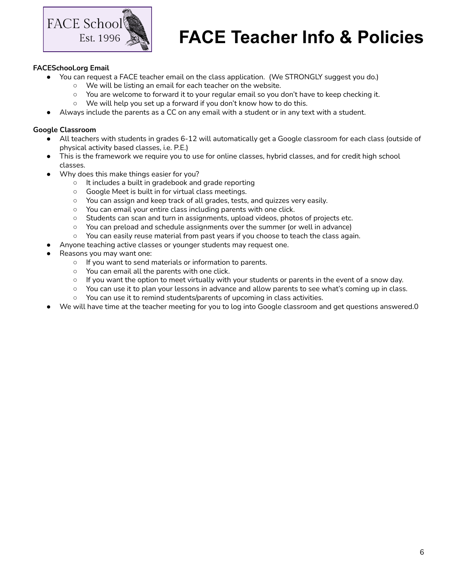

### **FACESchool.org Email**

- You can request a FACE teacher email on the class application. (We STRONGLY suggest you do.)
	- We will be listing an email for each teacher on the website.
	- You are welcome to forward it to your regular email so you don't have to keep checking it.
	- We will help you set up a forward if you don't know how to do this.
- Always include the parents as a CC on any email with a student or in any text with a student.

#### **Google Classroom**

- All teachers with students in grades 6-12 will automatically get a Google classroom for each class (outside of physical activity based classes, i.e. P.E.)
- This is the framework we require you to use for online classes, hybrid classes, and for credit high school classes.
- Why does this make things easier for you?
	- It includes a built in gradebook and grade reporting
	- Google Meet is built in for virtual class meetings.
	- You can assign and keep track of all grades, tests, and quizzes very easily.
	- You can email your entire class including parents with one click.
	- Students can scan and turn in assignments, upload videos, photos of projects etc.
	- You can preload and schedule assignments over the summer (or well in advance)
	- You can easily reuse material from past years if you choose to teach the class again.
	- Anyone teaching active classes or younger students may request one.
- Reasons you may want one:
	- If you want to send materials or information to parents.
	- You can email all the parents with one click.
	- $\circ$  If you want the option to meet virtually with your students or parents in the event of a snow day.
	- You can use it to plan your lessons in advance and allow parents to see what's coming up in class.
	- You can use it to remind students/parents of upcoming in class activities.
- We will have time at the teacher meeting for you to log into Google classroom and get questions answered.0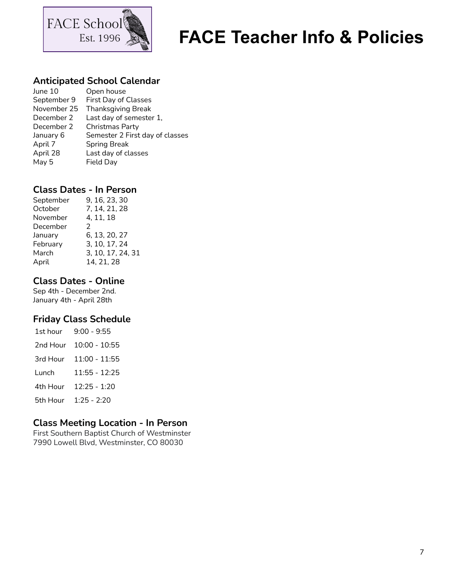

## **Anticipated School Calendar**

| June 10     | Open house                      |
|-------------|---------------------------------|
| September 9 | First Day of Classes            |
| November 25 | <b>Thanksgiving Break</b>       |
| December 2  | Last day of semester 1,         |
| December 2  | Christmas Party                 |
| January 6   | Semester 2 First day of classes |
| April 7     | <b>Spring Break</b>             |
| April 28    | Last day of classes             |
| May 5       | Field Day                       |
|             |                                 |

## **Class Dates - In Person**

| September | 9, 16, 23, 30     |
|-----------|-------------------|
| October   | 7, 14, 21, 28     |
| November  | 4, 11, 18         |
| December  | 2                 |
| January   | 6, 13, 20, 27     |
| February  | 3, 10, 17, 24     |
| March     | 3, 10, 17, 24, 31 |
| April     | 14, 21, 28        |

## **Class Dates - Online**

Sep 4th - December 2nd. January 4th - April 28th

## **Friday Class Schedule**

| 1st hour | $9:00 - 9:55$   |
|----------|-----------------|
| 2nd Hour | $10:00 - 10:55$ |
| 3rd Hour | 11:00 - 11:55   |
| Lunch    | 11:55 - 12:25   |
| 4th Hour | $12:25 - 1:20$  |
| 5th Hour | $1:25 - 2:20$   |

## **Class Meeting Location - In Person**

First Southern Baptist Church of Westminster 7990 Lowell Blvd, Westminster, CO 80030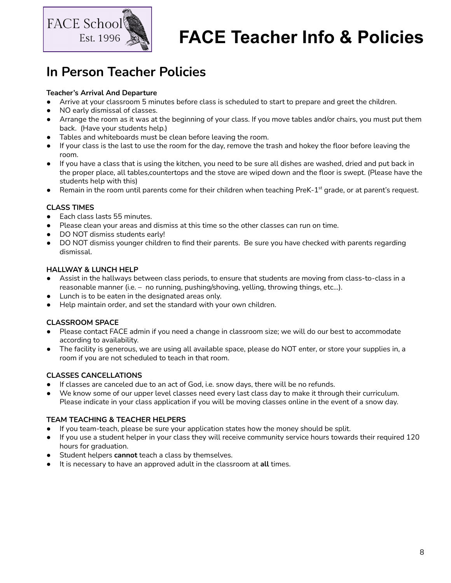

## **In Person Teacher Policies**

## **Teacher's Arrival And Departure**

- Arrive at your classroom 5 minutes before class is scheduled to start to prepare and greet the children.
- NO early dismissal of classes.
- Arrange the room as it was at the beginning of your class. If you move tables and/or chairs, you must put them back. (Have your students help.)
- Tables and whiteboards must be clean before leaving the room.
- If your class is the last to use the room for the day, remove the trash and hokey the floor before leaving the room.
- If you have a class that is using the kitchen, you need to be sure all dishes are washed, dried and put back in the proper place, all tables,countertops and the stove are wiped down and the floor is swept. (Please have the students help with this)
- $\bullet$  Remain in the room until parents come for their children when teaching PreK-1<sup>st</sup> grade, or at parent's request.

## **CLASS TIMES**

- Each class lasts 55 minutes.
- Please clean your areas and dismiss at this time so the other classes can run on time.
- DO NOT dismiss students early!
- DO NOT dismiss younger children to find their parents. Be sure you have checked with parents regarding dismissal.

## **HALLWAY & LUNCH HELP**

- Assist in the hallways between class periods, to ensure that students are moving from class-to-class in a reasonable manner (i.e. – no running, pushing/shoving, yelling, throwing things, etc…).
- Lunch is to be eaten in the designated areas only.
- Help maintain order, and set the standard with your own children.

## **CLASSROOM SPACE**

- Please contact FACE admin if you need a change in classroom size; we will do our best to accommodate according to availability.
- The facility is generous, we are using all available space, please do NOT enter, or store your supplies in, a room if you are not scheduled to teach in that room.

## **CLASSES CANCELLATIONS**

- If classes are canceled due to an act of God, i.e. snow days, there will be no refunds.
- We know some of our upper level classes need every last class day to make it through their curriculum. Please indicate in your class application if you will be moving classes online in the event of a snow day.

### **TEAM TEACHING & TEACHER HELPERS**

- If you team-teach, please be sure your application states how the money should be split.
- If you use a student helper in your class they will receive community service hours towards their required 120 hours for graduation.
- Student helpers **cannot** teach a class by themselves.
- It is necessary to have an approved adult in the classroom at **all** times.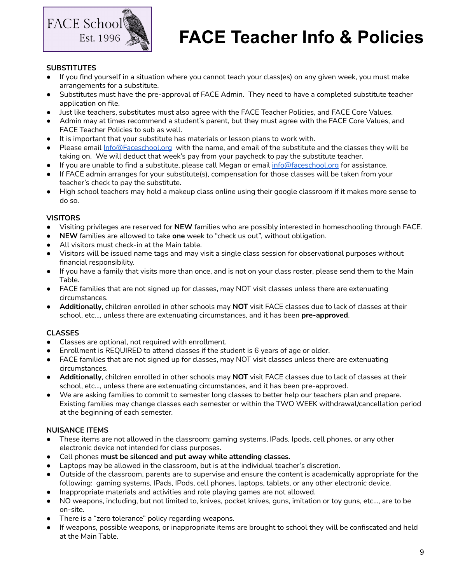

## **SUBSTITUTES**

- If you find yourself in a situation where you cannot teach your class(es) on any given week, you must make arrangements for a substitute.
- Substitutes must have the pre-approval of FACE Admin. They need to have a completed substitute teacher application on file.
- Just like teachers, substitutes must also agree with the FACE Teacher Policies, and FACE Core Values.
- Admin may at times recommend a student's parent, but they must agree with the FACE Core Values, and FACE Teacher Policies to sub as well.
- It is important that your substitute has materials or lesson plans to work with.
- Please email [Info@Faceschool.org](mailto:Info@Faceschool.org) with the name, and email of the substitute and the classes they will be taking on. We will deduct that week's pay from your paycheck to pay the substitute teacher.
- If you are unable to find a substitute, please call Megan or email [info@faceschool.org](mailto:info@faceschool.org) for assistance.
- If FACE admin arranges for your substitute(s), compensation for those classes will be taken from your teacher's check to pay the substitute.
- High school teachers may hold a makeup class online using their google classroom if it makes more sense to do so.

### **VISITORS**

- Visiting privileges are reserved for **NEW** families who are possibly interested in homeschooling through FACE.
- **NEW** families are allowed to take **one** week to "check us out", without obligation.
- All visitors must check-in at the Main table.
- Visitors will be issued name tags and may visit a single class session for observational purposes without financial responsibility.
- If you have a family that visits more than once, and is not on your class roster, please send them to the Main Table.
- FACE families that are not signed up for classes, may NOT visit classes unless there are extenuating circumstances.
- **Additionally**, children enrolled in other schools may **NOT** visit FACE classes due to lack of classes at their school, etc…, unless there are extenuating circumstances, and it has been **pre-approved**.

### **CLASSES**

- Classes are optional, not required with enrollment.
- Enrollment is REQUIRED to attend classes if the student is 6 years of age or older.
- FACE families that are not signed up for classes, may NOT visit classes unless there are extenuating circumstances.
- **Additionally**, children enrolled in other schools may **NOT** visit FACE classes due to lack of classes at their school, etc…, unless there are extenuating circumstances, and it has been pre-approved.
- We are asking families to commit to semester long classes to better help our teachers plan and prepare. Existing families may change classes each semester or within the TWO WEEK withdrawal/cancellation period at the beginning of each semester.

### **NUISANCE ITEMS**

- These items are not allowed in the classroom: gaming systems, IPads, Ipods, cell phones, or any other electronic device not intended for class purposes.
- Cell phones **must be silenced and put away while attending classes.**
- Laptops may be allowed in the classroom, but is at the individual teacher's discretion.
- Outside of the classroom, parents are to supervise and ensure the content is academically appropriate for the following: gaming systems, IPads, IPods, cell phones, laptops, tablets, or any other electronic device.
- Inappropriate materials and activities and role playing games are not allowed.
- NO weapons, including, but not limited to, knives, pocket knives, guns, imitation or toy guns, etc…, are to be on-site.
- There is a "zero tolerance" policy regarding weapons.
- If weapons, possible weapons, or inappropriate items are brought to school they will be confiscated and held at the Main Table.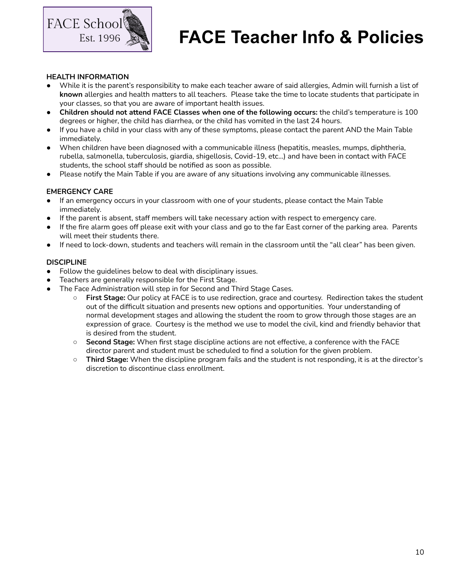

#### **HEALTH INFORMATION**

- While it is the parent's responsibility to make each teacher aware of said allergies, Admin will furnish a list of **known** allergies and health matters to all teachers. Please take the time to locate students that participate in your classes, so that you are aware of important health issues.
- **Children should not attend FACE Classes when one of the following occurs:** the child's temperature is 100 degrees or higher, the child has diarrhea, or the child has vomited in the last 24 hours.
- If you have a child in your class with any of these symptoms, please contact the parent AND the Main Table immediately.
- When children have been diagnosed with a communicable illness (hepatitis, measles, mumps, diphtheria, rubella, salmonella, tuberculosis, giardia, shigellosis, Covid-19, etc...) and have been in contact with FACE students, the school staff should be notified as soon as possible.
- Please notify the Main Table if you are aware of any situations involving any communicable illnesses.

## **EMERGENCY CARE**

- If an emergency occurs in your classroom with one of your students, please contact the Main Table immediately.
- If the parent is absent, staff members will take necessary action with respect to emergency care.
- If the fire alarm goes off please exit with your class and go to the far East corner of the parking area. Parents will meet their students there.
- If need to lock-down, students and teachers will remain in the classroom until the "all clear" has been given.

### **DISCIPLINE**

- Follow the guidelines below to deal with disciplinary issues.
- Teachers are generally responsible for the First Stage.
- The Face Administration will step in for Second and Third Stage Cases.
	- **First Stage:** Our policy at FACE is to use redirection, grace and courtesy. Redirection takes the student out of the difficult situation and presents new options and opportunities. Your understanding of normal development stages and allowing the student the room to grow through those stages are an expression of grace. Courtesy is the method we use to model the civil, kind and friendly behavior that is desired from the student.
	- **Second Stage:** When first stage discipline actions are not effective, a conference with the FACE director parent and student must be scheduled to find a solution for the given problem.
	- **Third Stage:** When the discipline program fails and the student is not responding, it is at the director's discretion to discontinue class enrollment.